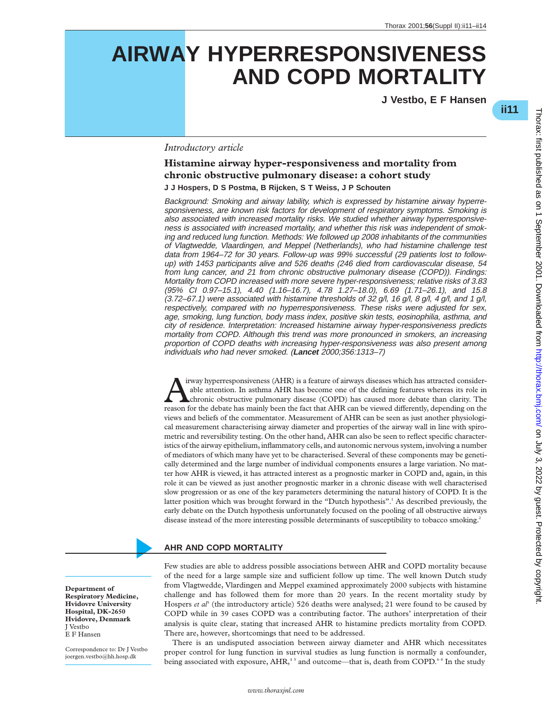# **AIRWAY HYPERRESPONSIVENESS AND COPD MORTALITY**

**J Vestbo, E F Hansen**

\***ii11**

### *Introductory article*

## **Histamine airway hyper-responsiveness and mortality from chronic obstructive pulmonary disease: a cohort study J J Hospers, D S Postma, B Rijcken, S T Weiss, J P Schouten**

Background: Smoking and airway lability, which is expressed by histamine airway hyperresponsiveness, are known risk factors for development of respiratory symptoms. Smoking is also associated with increased mortality risks. We studied whether airway hyperresponsiveness is associated with increased mortality, and whether this risk was independent of smoking and reduced lung function. Methods: We followed up 2008 inhabitants of the communities of Vlagtwedde, Vlaardingen, and Meppel (Netherlands), who had histamine challenge test data from 1964–72 for 30 years. Follow-up was 99% successful (29 patients lost to followup) with 1453 participants alive and 526 deaths (246 died from cardiovascular disease, 54 from lung cancer, and 21 from chronic obstructive pulmonary disease (COPD)). Findings: Mortality from COPD increased with more severe hyper-responsiveness; relative risks of 3.83 (95% CI 0.97–15.1), 4.40 (1.16–16.7), 4.78 1.27–18.0), 6.69 (1.71–26.1), and 15.8  $(3.72–67.1)$  were associated with histamine thresholds of 32 g/l, 16 g/l, 8 g/l, 4 g/l, and 1 g/l, respectively, compared with no hyperresponsiveness. These risks were adjusted for sex, age, smoking, lung function, body mass index, positive skin tests, eosinophilia, asthma, and city of residence. Interpretation: Increased histamine airway hyper-responsiveness predicts mortality from COPD. Although this trend was more pronounced in smokers, an increasing proportion of COPD deaths with increasing hyper-responsiveness was also present among individuals who had never smoked. (**Lancet** 2000;356:1313–7)

irway hyperresponsiveness (AHR) is a feature of airways diseases which has attracted considerable attention. In asthma AHR has become one of the defining features whereas its role in chronic obstructive pulmonary disease (COPD) has caused more debate than clarity. The reason for the debate has mainly been the fact that AHR can be viewed differently, depending on the views and beliefs of the commentator. Measurement of AHR can be seen as just another physiological measurement characterising airway diameter and properties of the airway wall in line with spirometric and reversibility testing. On the other hand, AHR can also be seen to reflect specific characteristics of the airway epithelium, inflammatory cells, and autonomic nervous system, involving a number of mediators of which many have yet to be characterised. Several of these components may be genetically determined and the large number of individual components ensures a large variation. No matter how AHR is viewed, it has attracted interest as a prognostic marker in COPD and, again, in this role it can be viewed as just another prognostic marker in a chronic disease with well characterised slow progression or as one of the key parameters determining the natural history of COPD. It is the latter position which was brought forward in the "Dutch hypothesis".<sup>1</sup> As described previously, the early debate on the Dutch hypothesis unfortunately focused on the pooling of all obstructive airways disease instead of the more interesting possible determinants of susceptibility to tobacco smoking.<sup>2</sup>

# **AHR AND COPD MORTALITY**

Few studies are able to address possible associations between AHR and COPD mortality because of the need for a large sample size and sufficient follow up time. The well known Dutch study from Vlagtwedde, Vlardingen and Meppel examined approximately 2000 subjects with histamine challenge and has followed them for more than 20 years. In the recent mortality study by Hospers *et al<sup>3</sup>* (the introductory article) 526 deaths were analysed; 21 were found to be caused by COPD while in 39 cases COPD was a contributing factor. The authors' interpretation of their analysis is quite clear, stating that increased AHR to histamine predicts mortality from COPD. There are, however, shortcomings that need to be addressed.

There is an undisputed association between airway diameter and AHR which necessitates proper control for lung function in survival studies as lung function is normally a confounder, being associated with exposure,  $AHR$ ,<sup>45</sup> and outcome—that is, death from COPD.<sup>6-8</sup> In the study

**Department of Respiratory Medicine, Hvidovre University Hospital, DK-2650 Hvidovre, Denmark** J Vestbo E F Hansen

Correspondence to: Dr J Vestbo joergen.vestbo@hh.hosp.dk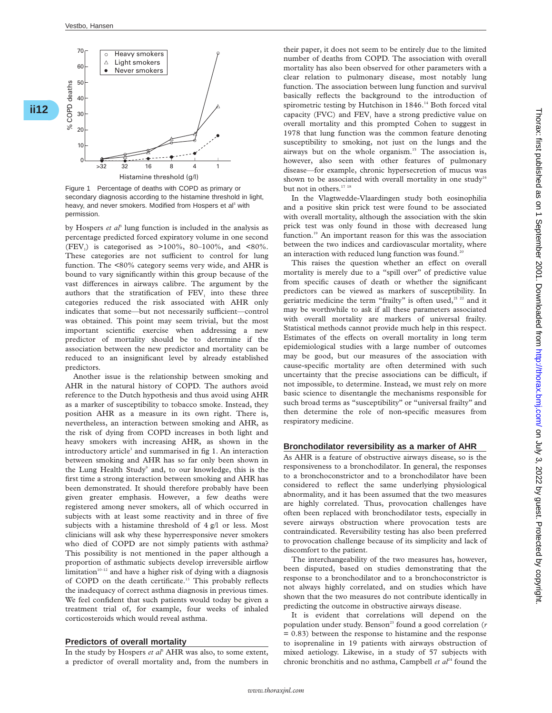**ii12**\*



Figure 1 Percentage of deaths with COPD as primary or secondary diagnosis according to the histamine threshold in light, heavy, and never smokers. Modified from Hospers et al<sup>3</sup> with permission.

by Hospers *et al*<sup>3</sup> lung function is included in the analysis as percentage predicted forced expiratory volume in one second (FEV<sub>1</sub>) is categorised as  $>100\%$ , 80-100%, and <80%. These categories are not sufficient to control for lung function. The <80% category seems very wide, and AHR is bound to vary significantly within this group because of the vast differences in airways calibre. The argument by the authors that the stratification of  $FEV<sub>1</sub>$  into these three categories reduced the risk associated with AHR only indicates that some—but not necessarily sufficient—control was obtained. This point may seem trivial, but the most important scientific exercise when addressing a new predictor of mortality should be to determine if the association between the new predictor and mortality can be reduced to an insignificant level by already established predictors.

Another issue is the relationship between smoking and AHR in the natural history of COPD. The authors avoid reference to the Dutch hypothesis and thus avoid using AHR as a marker of susceptibility to tobacco smoke. Instead, they position AHR as a measure in its own right. There is, nevertheless, an interaction between smoking and AHR, as the risk of dying from COPD increases in both light and heavy smokers with increasing AHR, as shown in the introductory article<sup>3</sup> and summarised in fig 1. An interaction between smoking and AHR has so far only been shown in the Lung Health Study<sup>9</sup> and, to our knowledge, this is the first time a strong interaction between smoking and AHR has been demonstrated. It should therefore probably have been given greater emphasis. However, a few deaths were registered among never smokers, all of which occurred in subjects with at least some reactivity and in three of five subjects with a histamine threshold of 4 g/l or less. Most clinicians will ask why these hyperresponsive never smokers who died of COPD are not simply patients with asthma? This possibility is not mentioned in the paper although a proportion of asthmatic subjects develop irreversible airflow limitation $10^{-12}$  and have a higher risk of dying with a diagnosis of COPD on the death certificate.<sup>13</sup> This probably reflects the inadequacy of correct asthma diagnosis in previous times. We feel confident that such patients would today be given a treatment trial of, for example, four weeks of inhaled corticosteroids which would reveal asthma.

#### **Predictors of overall mortality**

In the study by Hospers *et al<sup>3</sup>* AHR was also, to some extent, a predictor of overall mortality and, from the numbers in their paper, it does not seem to be entirely due to the limited number of deaths from COPD. The association with overall mortality has also been observed for other parameters with a clear relation to pulmonary disease, most notably lung function. The association between lung function and survival basically reflects the background to the introduction of spirometric testing by Hutchison in 1846.<sup>14</sup> Both forced vital capacity (FVC) and FEV<sub>1</sub> have a strong predictive value on overall mortality and this prompted Cohen to suggest in 1978 that lung function was the common feature denoting susceptibility to smoking, not just on the lungs and the airways but on the whole organism.<sup>15</sup> The association is, however, also seen with other features of pulmonary disease—for example, chronic hypersecretion of mucus was shown to be associated with overall mortality in one study<sup>16</sup> but not in others.<sup>17</sup><sup>18</sup>

In the Vlagtwedde-Vlaardingen study both eosinophilia and a positive skin prick test were found to be associated with overall mortality, although the association with the skin prick test was only found in those with decreased lung function.<sup>19</sup> An important reason for this was the association between the two indices and cardiovascular mortality, where an interaction with reduced lung function was found.<sup>20</sup>

This raises the question whether an effect on overall mortality is merely due to a "spill over" of predictive value from specific causes of death or whether the significant predictors can be viewed as markers of susceptibility. In geriatric medicine the term "frailty" is often used, $21$   $22$  and it may be worthwhile to ask if all these parameters associated with overall mortality are markers of universal frailty. Statistical methods cannot provide much help in this respect. Estimates of the effects on overall mortality in long term epidemiological studies with a large number of outcomes may be good, but our measures of the association with cause-specific mortality are often determined with such uncertainty that the precise associations can be difficult, if not impossible, to determine. Instead, we must rely on more basic science to disentangle the mechanisms responsible for such broad terms as "susceptibility" or "universal frailty" and then determine the role of non-specific measures from respiratory medicine.

#### **Bronchodilator reversibility as a marker of AHR**

As AHR is a feature of obstructive airways disease, so is the responsiveness to a bronchodilator. In general, the responses to a bronchoconstrictor and to a bronchodilator have been considered to reflect the same underlying physiological abnormality, and it has been assumed that the two measures are highly correlated. Thus, provocation challenges have often been replaced with bronchodilator tests, especially in severe airways obstruction where provocation tests are contraindicated. Reversibility testing has also been preferred to provocation challenge because of its simplicity and lack of discomfort to the patient.

The interchangeability of the two measures has, however, been disputed, based on studies demonstrating that the response to a bronchodilator and to a bronchoconstrictor is not always highly correlated, and on studies which have shown that the two measures do not contribute identically in predicting the outcome in obstructive airways disease.

It is evident that correlations will depend on the population under study. Benson<sup>23</sup> found a good correlation (*r* = 0.83) between the response to histamine and the response to isoprenaline in 19 patients with airways obstruction of mixed aetiology. Likewise, in a study of 57 subjects with chronic bronchitis and no asthma, Campbell *et al*<sup>24</sup> found the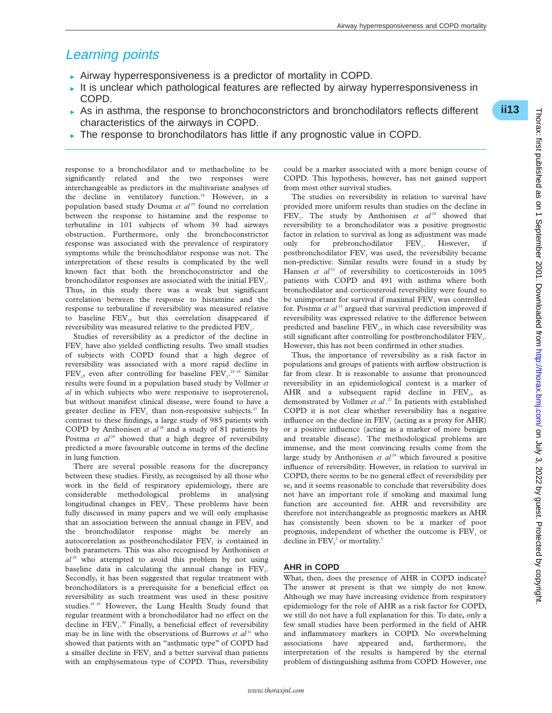# Learning points

- $\triangleright$  Airway hyperresponsiveness is a predictor of mortality in COPD.
- It is unclear which pathological features are reflected by airway hyperresponsiveness in COPD.
- $\triangleright$  As in asthma, the response to bronchoconstrictors and bronchodilators reflects different characteristics of the airways in COPD.
- $\triangleright$  The response to bronchodilators has little if any prognostic value in COPD.

response to a bronchodilator and to methacholine to be significantly related and the two responses were interchangeable as predictors in the multivariate analyses of the decline in ventilatory function.<sup>24</sup> However, in a population based study Douma et al<sup>25</sup> found no correlation between the response to histamine and the response to terbutaline in 101 subjects of whom 39 had airways obstruction. Furthermore, only the bronchoconstrictor response was associated with the prevalence of respiratory symptoms while the bronchodilator response was not. The interpretation of these results is complicated by the well known fact that both the bronchoconstrictor and the bronchodilator responses are associated with the initial FEV<sub>1</sub>. Thus, in this study there was a weak but significant correlation between the response to histamine and the response to terbutaline if reversibility was measured relative to baseline FEV<sub>1</sub>, but this correlation disappeared if reversibility was measured relative to the predicted FEV.

Studies of reversibility as a predictor of the decline in FEV<sub>1</sub> have also yielded conflicting results. Two small studies of subjects with COPD found that a high degree of reversibility was associated with a more rapid decline in  $FEV_1$ , even after controlling for baseline  $FEV_1$ <sup>24 26</sup> Similar results were found in a population based study by Vollmer *et al* in which subjects who were responsive to isoproterenol, but without manifest clinical disease, were found to have a greater decline in FEV<sub>1</sub> than non-responsive subjects.<sup>27</sup> In contrast to these findings, a large study of 985 patients with COPD by Anthonisen *et al*<sup>28</sup> and a study of 81 patients by Postma *et al*<sup>29</sup> showed that a high degree of reversibility predicted a more favourable outcome in terms of the decline in lung function.

There are several possible reasons for the discrepancy between these studies. Firstly, as recognised by all those who work in the field of respiratory epidemiology, there are considerable methodological problems in analysing longitudinal changes in FEV<sub>1</sub>. These problems have been fully discussed in many papers and we will only emphasise that an association between the annual change in FEV<sub>1</sub> and the bronchodilator response might be merely an autocorrelation as postbronchodilator FEV<sub>1</sub> is contained in both parameters. This was also recognised by Anthonisen *et*  $al^{28}$  who attempted to avoid this problem by not using baseline data in calculating the annual change in  $FEV<sub>1</sub>$ . Secondly, it has been suggested that regular treatment with bronchodilators is a prerequisite for a beneficial effect on reversibility as such treatment was used in these positive studies.<sup>28 29</sup> However, the Lung Health Study found that regular treatment with a bronchodilator had no effect on the decline in  $FEV<sub>1</sub>$ .<sup>30</sup> Finally, a beneficial effect of reversibility may be in line with the observations of Burrows *et al*<sup>31</sup> who showed that patients with an "asthmatic type" of COPD had a smaller decline in FEV<sub>1</sub> and a better survival than patients with an emphysematous type of COPD. Thus, reversibility

could be a marker associated with a more benign course of COPD. This hypothesis, however, has not gained support from most other survival studies.

The studies on reversibility in relation to survival have provided more uniform results than studies on the decline in FEV<sub>1</sub>. The study by Anthonisen *et al*<sup>28</sup> showed that reversibility to a bronchodilator was a positive prognostic factor in relation to survival as long as adjustment was made only for prebronchodilator FEV<sub>1</sub>. However, if postbronchodilator  $FEV<sub>1</sub>$  was used, the reversibility became non-predictive. Similar results were found in a study by Hansen *et al*<sup>32</sup> of reversibility to corticosteroids in 1095 patients with COPD and 491 with asthma where both bronchodilator and corticosteroid reversibility were found to be unimportant for survival if maximal FEV<sub>1</sub> was controlled for. Postma *et al*<sup>33</sup> argued that survival prediction improved if reversibility was expressed relative to the difference between predicted and baseline FEV<sub>1</sub>, in which case reversibility was still significant after controlling for postbronchodilator FEV<sub>1</sub>. However, this has not been confirmed in other studies.

Thus, the importance of reversibility as a risk factor in populations and groups of patients with airflow obstruction is far from clear. It is reasonable to assume that pronounced reversibility in an epidemiological context is a marker of AHR and a subsequent rapid decline in  $FEV<sub>1</sub>$ , as demonstrated by Vollmer *et al* . <sup>27</sup> In patients with established COPD it is not clear whether reversibility has a negative influence on the decline in  $FEV<sub>1</sub>$  (acting as a proxy for  $AHR$ ) or a positive influence (acting as a marker of more benign and treatable disease). The methodological problems are immense, and the most convincing results come from the large study by Anthonisen et al<sup>28</sup> which favoured a positive influence of reversibility. However, in relation to survival in COPD, there seems to be no general effect of reversibility per se, and it seems reasonable to conclude that reversibility does not have an important role if smoking and maximal lung function are accounted for. AHR and reversibility are therefore not interchangeable as prognostic markers as AHR has consistently been shown to be a marker of poor prognosis, independent of whether the outcome is  $FEV<sub>1</sub>$  or decline in  $FEV<sub>1</sub><sup>2</sup>$  or mortality.<sup>3</sup>

#### **AHR in COPD**

What, then, does the presence of AHR in COPD indicate? The answer at present is that we simply do not know. Although we may have increasing evidence from respiratory epidemiology for the role of AHR as a risk factor for COPD, we still do not have a full explanation for this. To date, only a few small studies have been performed in the field of AHR and inflammatory markers in COPD. No overwhelming associations have appeared and, furthermore, the interpretation of the results is hampered by the eternal problem of distinguishing asthma from COPD. However, one

\***ii13**